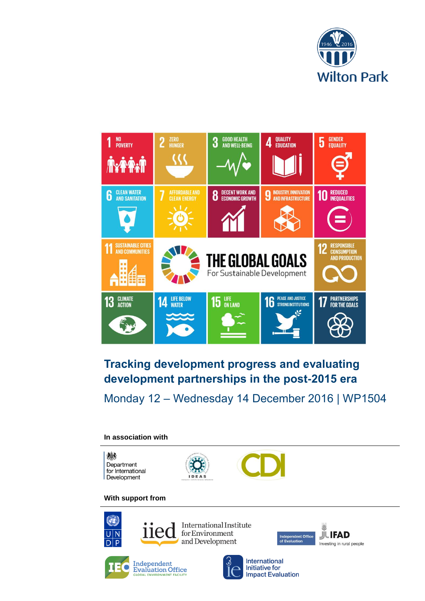



# **Tracking development progress and evaluating development partnerships in the post-2015 era**

Monday 12 – Wednesday 14 December 2016 | WP1504

## **In association with**



## **With support from**



International Institute **llec** for Environment and Development



**Independent**<br> **Evaluation Office**<br>
GLOBAL ENVIRONMENT FACILITY



**JUIFAD** pendent Office<br>aluation Investing in rural people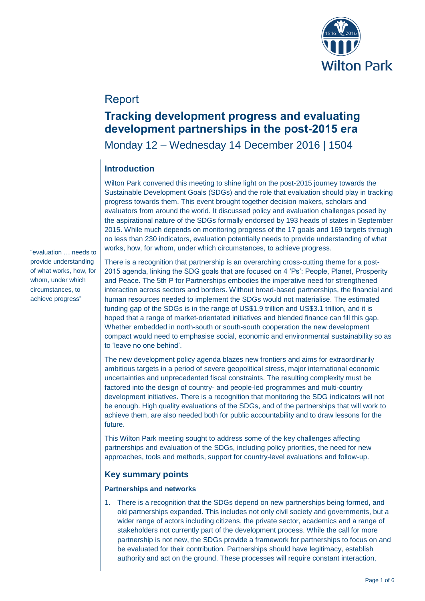

## Report

## **Tracking development progress and evaluating development partnerships in the post-2015 era**

Monday 12 – Wednesday 14 December 2016 | 1504

## **Introduction**

Wilton Park convened this meeting to shine light on the post-2015 journey towards the Sustainable Development Goals (SDGs) and the role that evaluation should play in tracking progress towards them. This event brought together decision makers, scholars and evaluators from around the world. It discussed policy and evaluation challenges posed by the aspirational nature of the SDGs formally endorsed by 193 heads of states in September 2015. While much depends on monitoring progress of the 17 goals and 169 targets through no less than 230 indicators, evaluation potentially needs to provide understanding of what works, how, for whom, under which circumstances, to achieve progress.

"evaluation … needs to provide understanding of what works, how, for whom, under which circumstances, to achieve progress"

There is a recognition that partnership is an overarching cross-cutting theme for a post-2015 agenda, linking the SDG goals that are focused on 4 'Ps': People, Planet, Prosperity and Peace. The 5th P for Partnerships embodies the imperative need for strengthened interaction across sectors and borders. Without broad-based partnerships, the financial and human resources needed to implement the SDGs would not materialise. The estimated funding gap of the SDGs is in the range of US\$1.9 trillion and US\$3.1 trillion, and it is hoped that a range of market-orientated initiatives and blended finance can fill this gap. Whether embedded in north-south or south-south cooperation the new development compact would need to emphasise social, economic and environmental sustainability so as to 'leave no one behind'.

The new development policy agenda blazes new frontiers and aims for extraordinarily ambitious targets in a period of severe geopolitical stress, major international economic uncertainties and unprecedented fiscal constraints. The resulting complexity must be factored into the design of country- and people-led programmes and multi-country development initiatives. There is a recognition that monitoring the SDG indicators will not be enough. High quality evaluations of the SDGs, and of the partnerships that will work to achieve them, are also needed both for public accountability and to draw lessons for the future.

This Wilton Park meeting sought to address some of the key challenges affecting partnerships and evaluation of the SDGs, including policy priorities, the need for new approaches, tools and methods, support for country-level evaluations and follow-up.

## **Key summary points**

#### **Partnerships and networks**

1. There is a recognition that the SDGs depend on new partnerships being formed, and old partnerships expanded. This includes not only civil society and governments, but a wider range of actors including citizens, the private sector, academics and a range of stakeholders not currently part of the development process. While the call for more partnership is not new, the SDGs provide a framework for partnerships to focus on and be evaluated for their contribution. Partnerships should have legitimacy, establish authority and act on the ground. These processes will require constant interaction,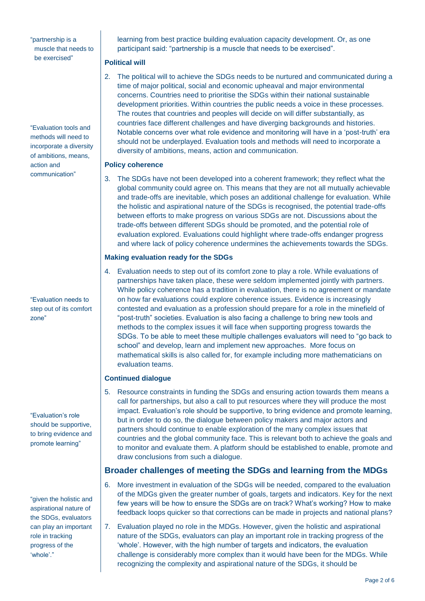"partnership is a muscle that needs to be exercised"

"Evaluation tools and methods will need to incorporate a diversity of ambitions, means, action and communication"

"Evaluation needs to step out of its comfort zone"

"Evaluation's role should be supportive, to bring evidence and promote learning"

"given the holistic and aspirational nature of the SDGs, evaluators can play an important role in tracking progress of the 'whole'."

learning from best practice building evaluation capacity development. Or, as one participant said: "partnership is a muscle that needs to be exercised".

#### **Political will**

2. The political will to achieve the SDGs needs to be nurtured and communicated during a time of major political, social and economic upheaval and major environmental concerns. Countries need to prioritise the SDGs within their national sustainable development priorities. Within countries the public needs a voice in these processes. The routes that countries and peoples will decide on will differ substantially, as countries face different challenges and have diverging backgrounds and histories. Notable concerns over what role evidence and monitoring will have in a 'post-truth' era should not be underplayed. Evaluation tools and methods will need to incorporate a diversity of ambitions, means, action and communication.

#### **Policy coherence**

3. The SDGs have not been developed into a coherent framework; they reflect what the global community could agree on. This means that they are not all mutually achievable and trade-offs are inevitable, which poses an additional challenge for evaluation. While the holistic and aspirational nature of the SDGs is recognised, the potential trade-offs between efforts to make progress on various SDGs are not. Discussions about the trade-offs between different SDGs should be promoted, and the potential role of evaluation explored. Evaluations could highlight where trade-offs endanger progress and where lack of policy coherence undermines the achievements towards the SDGs.

### **Making evaluation ready for the SDGs**

4. Evaluation needs to step out of its comfort zone to play a role. While evaluations of partnerships have taken place, these were seldom implemented jointly with partners. While policy coherence has a tradition in evaluation, there is no agreement or mandate on how far evaluations could explore coherence issues. Evidence is increasingly contested and evaluation as a profession should prepare for a role in the minefield of "post-truth" societies. Evaluation is also facing a challenge to bring new tools and methods to the complex issues it will face when supporting progress towards the SDGs. To be able to meet these multiple challenges evaluators will need to "go back to school" and develop, learn and implement new approaches. More focus on mathematical skills is also called for, for example including more mathematicians on evaluation teams.

## **Continued dialogue**

5. Resource constraints in funding the SDGs and ensuring action towards them means a call for partnerships, but also a call to put resources where they will produce the most impact. Evaluation's role should be supportive, to bring evidence and promote learning, but in order to do so, the dialogue between policy makers and major actors and partners should continue to enable exploration of the many complex issues that countries and the global community face. This is relevant both to achieve the goals and to monitor and evaluate them. A platform should be established to enable, promote and draw conclusions from such a dialogue.

## **Broader challenges of meeting the SDGs and learning from the MDGs**

- 6. More investment in evaluation of the SDGs will be needed, compared to the evaluation of the MDGs given the greater number of goals, targets and indicators. Key for the next few years will be how to ensure the SDGs are on track? What's working? How to make feedback loops quicker so that corrections can be made in projects and national plans?
- 7. Evaluation played no role in the MDGs. However, given the holistic and aspirational nature of the SDGs, evaluators can play an important role in tracking progress of the 'whole'. However, with the high number of targets and indicators, the evaluation challenge is considerably more complex than it would have been for the MDGs. While recognizing the complexity and aspirational nature of the SDGs, it should be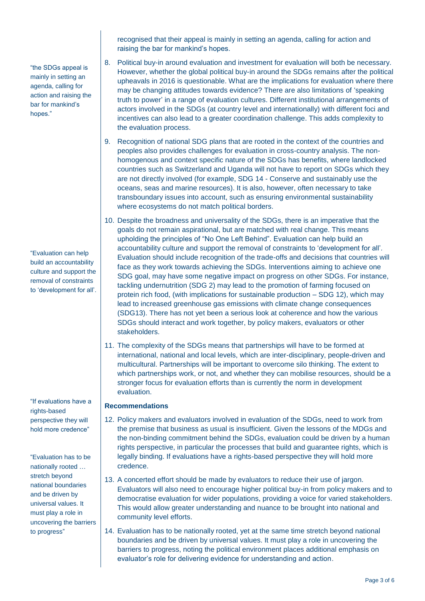"the SDGs appeal is mainly in setting an agenda, calling for action and raising the bar for mankind's hopes."

"Evaluation can help build an accountability culture and support the removal of constraints to 'development for all'.

"If evaluations have a rights-based perspective they will hold more credence"

"Evaluation has to be nationally rooted … stretch beyond national boundaries and be driven by universal values. It must play a role in uncovering the barriers to progress"

recognised that their appeal is mainly in setting an agenda, calling for action and raising the bar for mankind's hopes.

- 8. Political buy-in around evaluation and investment for evaluation will both be necessary. However, whether the global political buy-in around the SDGs remains after the political upheavals in 2016 is questionable. What are the implications for evaluation where there may be changing attitudes towards evidence? There are also limitations of 'speaking truth to power' in a range of evaluation cultures. Different institutional arrangements of actors involved in the SDGs (at country level and internationally) with different foci and incentives can also lead to a greater coordination challenge. This adds complexity to the evaluation process.
- 9. Recognition of national SDG plans that are rooted in the context of the countries and peoples also provides challenges for evaluation in cross-country analysis. The nonhomogenous and context specific nature of the SDGs has benefits, where landlocked countries such as Switzerland and Uganda will not have to report on SDGs which they are not directly involved (for example, SDG 14 - Conserve and sustainably use the oceans, seas and marine resources). It is also, however, often necessary to take transboundary issues into account, such as ensuring environmental sustainability where ecosystems do not match political borders.
- 10. Despite the broadness and universality of the SDGs, there is an imperative that the goals do not remain aspirational, but are matched with real change. This means upholding the principles of "No One Left Behind". Evaluation can help build an accountability culture and support the removal of constraints to 'development for all'. Evaluation should include recognition of the trade-offs and decisions that countries will face as they work towards achieving the SDGs. Interventions aiming to achieve one SDG goal, may have some negative impact on progress on other SDGs. For instance, tackling undernutrition (SDG 2) may lead to the promotion of farming focused on protein rich food, (with implications for sustainable production – SDG 12), which may lead to increased greenhouse gas emissions with climate change consequences (SDG13). There has not yet been a serious look at coherence and how the various SDGs should interact and work together, by policy makers, evaluators or other stakeholders.
- 11. The complexity of the SDGs means that partnerships will have to be formed at international, national and local levels, which are inter-disciplinary, people-driven and multicultural. Partnerships will be important to overcome silo thinking. The extent to which partnerships work, or not, and whether they can mobilise resources, should be a stronger focus for evaluation efforts than is currently the norm in development evaluation.

#### **Recommendations**

- 12. Policy makers and evaluators involved in evaluation of the SDGs, need to work from the premise that business as usual is insufficient. Given the lessons of the MDGs and the non-binding commitment behind the SDGs, evaluation could be driven by a human rights perspective, in particular the processes that build and guarantee rights, which is legally binding. If evaluations have a rights-based perspective they will hold more credence.
- 13. A concerted effort should be made by evaluators to reduce their use of jargon. Evaluators will also need to encourage higher political buy-in from policy makers and to democratise evaluation for wider populations, providing a voice for varied stakeholders. This would allow greater understanding and nuance to be brought into national and community level efforts.
- 14. Evaluation has to be nationally rooted, yet at the same time stretch beyond national boundaries and be driven by universal values. It must play a role in uncovering the barriers to progress, noting the political environment places additional emphasis on evaluator's role for delivering evidence for understanding and action.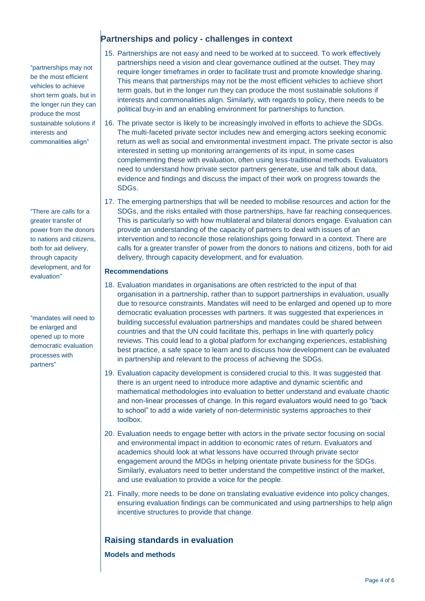"partnerships may not be the most efficient vehicles to achieve short term goals, but in the longer run they can produce the most sustainable solutions if interests and commonalities align"

"There are calls for a greater transfer of power from the donors to nations and citizens, both for aid delivery, through capacity development, and for evaluation"

"mandates will need to be enlarged and opened up to more democratic evaluation processes with partners"

## **Partnerships and policy - challenges in context**

- 15. Partnerships are not easy and need to be worked at to succeed. To work effectively partnerships need a vision and clear governance outlined at the outset. They may require longer timeframes in order to facilitate trust and promote knowledge sharing. This means that partnerships may not be the most efficient vehicles to achieve short term goals, but in the longer run they can produce the most sustainable solutions if interests and commonalities align. Similarly, with regards to policy, there needs to be political buy-in and an enabling environment for partnerships to function.
- 16. The private sector is likely to be increasingly involved in efforts to achieve the SDGs. The multi-faceted private sector includes new and emerging actors seeking economic return as well as social and environmental investment impact. The private sector is also interested in setting up monitoring arrangements of its input, in some cases complementing these with evaluation, often using less-traditional methods. Evaluators need to understand how private sector partners generate, use and talk about data, evidence and findings and discuss the impact of their work on progress towards the SDGs.
- 17. The emerging partnerships that will be needed to mobilise resources and action for the SDGs, and the risks entailed with those partnerships, have far reaching consequences. This is particularly so with how multilateral and bilateral donors engage. Evaluation can provide an understanding of the capacity of partners to deal with issues of an intervention and to reconcile those relationships going forward in a context. There are calls for a greater transfer of power from the donors to nations and citizens, both for aid delivery, through capacity development, and for evaluation.

#### **Recommendations**

- 18. Evaluation mandates in organisations are often restricted to the input of that organisation in a partnership, rather than to support partnerships in evaluation, usually due to resource constraints. Mandates will need to be enlarged and opened up to more democratic evaluation processes with partners. It was suggested that experiences in building successful evaluation partnerships and mandates could be shared between countries and that the UN could facilitate this, perhaps in line with quarterly policy reviews. This could lead to a global platform for exchanging experiences, establishing best practice, a safe space to learn and to discuss how development can be evaluated in partnership and relevant to the process of achieving the SDGs.
- 19. Evaluation capacity development is considered crucial to this. It was suggested that there is an urgent need to introduce more adaptive and dynamic scientific and mathematical methodologies into evaluation to better understand and evaluate chaotic and non-linear processes of change. In this regard evaluators would need to go "back to school" to add a wide variety of non-deterministic systems approaches to their toolbox.
- 20. Evaluation needs to engage better with actors in the private sector focusing on social and environmental impact in addition to economic rates of return. Evaluators and academics should look at what lessons have occurred through private sector engagement around the MDGs in helping orientate private business for the SDGs. Similarly, evaluators need to better understand the competitive instinct of the market, and use evaluation to provide a voice for the people.
- 21. Finally, more needs to be done on translating evaluative evidence into policy changes, ensuring evaluation findings can be communicated and using partnerships to help align incentive structures to provide that change.

## **Raising standards in evaluation**

**Models and methods**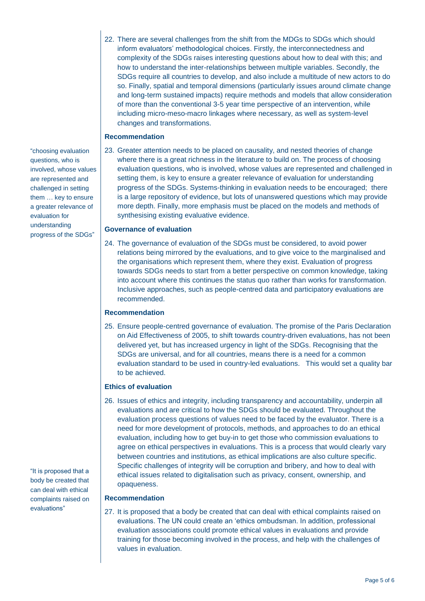22. There are several challenges from the shift from the MDGs to SDGs which should inform evaluators' methodological choices. Firstly, the interconnectedness and complexity of the SDGs raises interesting questions about how to deal with this; and how to understand the inter-relationships between multiple variables. Secondly, the SDGs require all countries to develop, and also include a multitude of new actors to do so. Finally, spatial and temporal dimensions (particularly issues around climate change and long-term sustained impacts) require methods and models that allow consideration of more than the conventional 3-5 year time perspective of an intervention, while including micro-meso-macro linkages where necessary, as well as system-level changes and transformations.

#### **Recommendation**

23. Greater attention needs to be placed on causality, and nested theories of change where there is a great richness in the literature to build on. The process of choosing evaluation questions, who is involved, whose values are represented and challenged in setting them, is key to ensure a greater relevance of evaluation for understanding progress of the SDGs. Systems-thinking in evaluation needs to be encouraged; there is a large repository of evidence, but lots of unanswered questions which may provide more depth. Finally, more emphasis must be placed on the models and methods of synthesising existing evaluative evidence.

#### **Governance of evaluation**

24. The governance of evaluation of the SDGs must be considered, to avoid power relations being mirrored by the evaluations, and to give voice to the marginalised and the organisations which represent them, where they exist. Evaluation of progress towards SDGs needs to start from a better perspective on common knowledge, taking into account where this continues the status quo rather than works for transformation. Inclusive approaches, such as people-centred data and participatory evaluations are recommended.

#### **Recommendation**

25. Ensure people-centred governance of evaluation. The promise of the Paris Declaration on Aid Effectiveness of 2005, to shift towards country-driven evaluations, has not been delivered yet, but has increased urgency in light of the SDGs. Recognising that the SDGs are universal, and for all countries, means there is a need for a common evaluation standard to be used in country-led evaluations. This would set a quality bar to be achieved.

#### **Ethics of evaluation**

26. Issues of ethics and integrity, including transparency and accountability, underpin all evaluations and are critical to how the SDGs should be evaluated. Throughout the evaluation process questions of values need to be faced by the evaluator. There is a need for more development of protocols, methods, and approaches to do an ethical evaluation, including how to get buy-in to get those who commission evaluations to agree on ethical perspectives in evaluations. This is a process that would clearly vary between countries and institutions, as ethical implications are also culture specific. Specific challenges of integrity will be corruption and bribery, and how to deal with ethical issues related to digitalisation such as privacy, consent, ownership, and opaqueness.

#### **Recommendation**

27. It is proposed that a body be created that can deal with ethical complaints raised on evaluations. The UN could create an 'ethics ombudsman. In addition, professional evaluation associations could promote ethical values in evaluations and provide training for those becoming involved in the process, and help with the challenges of values in evaluation.

"choosing evaluation questions, who is involved, whose values are represented and challenged in setting them … key to ensure a greater relevance of evaluation for understanding progress of the SDGs"

"It is proposed that a body be created that can deal with ethical complaints raised on evaluations"